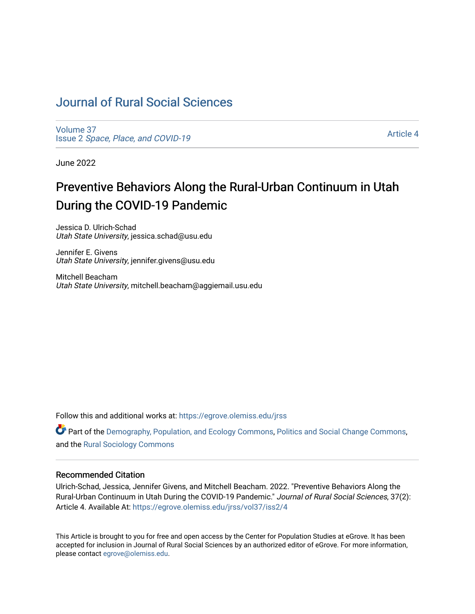# [Journal of Rural Social Sciences](https://egrove.olemiss.edu/jrss)

[Volume 37](https://egrove.olemiss.edu/jrss/vol37) Issue 2 [Space, Place, and COVID-19](https://egrove.olemiss.edu/jrss/vol37/iss2)

[Article 4](https://egrove.olemiss.edu/jrss/vol37/iss2/4) 

June 2022

# Preventive Behaviors Along the Rural-Urban Continuum in Utah During the COVID-19 Pandemic

Jessica D. Ulrich-Schad Utah State University, jessica.schad@usu.edu

Jennifer E. Givens Utah State University, jennifer.givens@usu.edu

Mitchell Beacham Utah State University, mitchell.beacham@aggiemail.usu.edu

Follow this and additional works at: [https://egrove.olemiss.edu/jrss](https://egrove.olemiss.edu/jrss?utm_source=egrove.olemiss.edu%2Fjrss%2Fvol37%2Fiss2%2F4&utm_medium=PDF&utm_campaign=PDFCoverPages) 

Part of the [Demography, Population, and Ecology Commons,](https://network.bepress.com/hgg/discipline/418?utm_source=egrove.olemiss.edu%2Fjrss%2Fvol37%2Fiss2%2F4&utm_medium=PDF&utm_campaign=PDFCoverPages) [Politics and Social Change Commons,](https://network.bepress.com/hgg/discipline/425?utm_source=egrove.olemiss.edu%2Fjrss%2Fvol37%2Fiss2%2F4&utm_medium=PDF&utm_campaign=PDFCoverPages) and the [Rural Sociology Commons](https://network.bepress.com/hgg/discipline/428?utm_source=egrove.olemiss.edu%2Fjrss%2Fvol37%2Fiss2%2F4&utm_medium=PDF&utm_campaign=PDFCoverPages) 

#### Recommended Citation

Ulrich-Schad, Jessica, Jennifer Givens, and Mitchell Beacham. 2022. "Preventive Behaviors Along the Rural-Urban Continuum in Utah During the COVID-19 Pandemic." Journal of Rural Social Sciences, 37(2): Article 4. Available At: [https://egrove.olemiss.edu/jrss/vol37/iss2/4](https://egrove.olemiss.edu/jrss/vol37/iss2/4?utm_source=egrove.olemiss.edu%2Fjrss%2Fvol37%2Fiss2%2F4&utm_medium=PDF&utm_campaign=PDFCoverPages) 

This Article is brought to you for free and open access by the Center for Population Studies at eGrove. It has been accepted for inclusion in Journal of Rural Social Sciences by an authorized editor of eGrove. For more information, please contact [egrove@olemiss.edu.](mailto:egrove@olemiss.edu)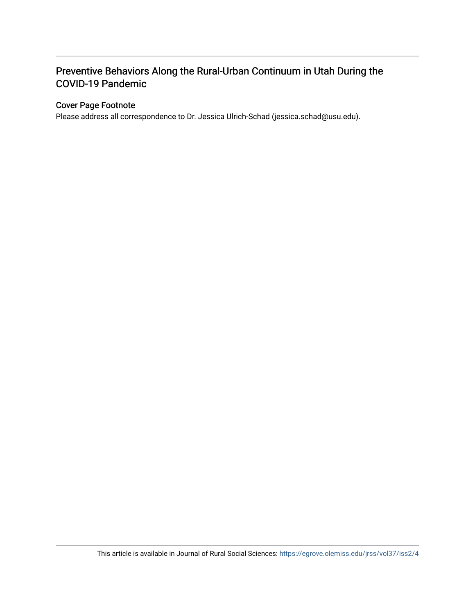# Preventive Behaviors Along the Rural-Urban Continuum in Utah During the COVID-19 Pandemic

#### Cover Page Footnote

Please address all correspondence to Dr. Jessica Ulrich-Schad (jessica.schad@usu.edu).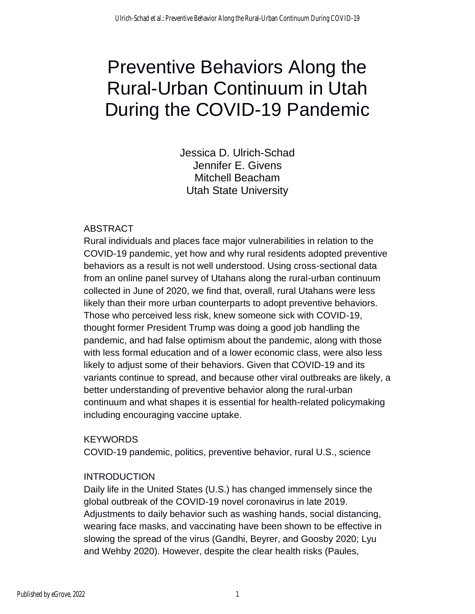# Preventive Behaviors Along the Rural-Urban Continuum in Utah During the COVID-19 Pandemic

Jessica D. Ulrich-Schad Jennifer E. Givens Mitchell Beacham Utah State University

# ABSTRACT

Rural individuals and places face major vulnerabilities in relation to the COVID-19 pandemic, yet how and why rural residents adopted preventive behaviors as a result is not well understood. Using cross-sectional data from an online panel survey of Utahans along the rural-urban continuum collected in June of 2020, we find that, overall, rural Utahans were less likely than their more urban counterparts to adopt preventive behaviors. Those who perceived less risk, knew someone sick with COVID-19, thought former President Trump was doing a good job handling the pandemic, and had false optimism about the pandemic, along with those with less formal education and of a lower economic class, were also less likely to adjust some of their behaviors. Given that COVID-19 and its variants continue to spread, and because other viral outbreaks are likely, a better understanding of preventive behavior along the rural-urban continuum and what shapes it is essential for health-related policymaking including encouraging vaccine uptake.

# **KEYWORDS**

COVID-19 pandemic, politics, preventive behavior, rural U.S., science

# INTRODUCTION

Daily life in the United States (U.S.) has changed immensely since the global outbreak of the COVID-19 novel coronavirus in late 2019. Adjustments to daily behavior such as washing hands, social distancing, wearing face masks, and vaccinating have been shown to be effective in slowing the spread of the virus (Gandhi, Beyrer, and Goosby 2020; Lyu and Wehby 2020). However, despite the clear health risks (Paules,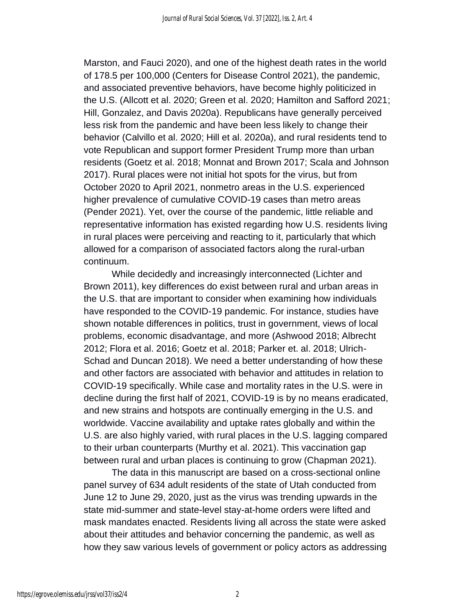Marston, and Fauci 2020), and one of the highest death rates in the world of 178.5 per 100,000 (Centers for Disease Control 2021), the pandemic, and associated preventive behaviors, have become highly politicized in the U.S. (Allcott et al. 2020; Green et al. 2020; Hamilton and Safford 2021; Hill, Gonzalez, and Davis 2020a). Republicans have generally perceived less risk from the pandemic and have been less likely to change their behavior (Calvillo et al. 2020; Hill et al. 2020a), and rural residents tend to vote Republican and support former President Trump more than urban residents (Goetz et al. 2018; Monnat and Brown 2017; Scala and Johnson 2017). Rural places were not initial hot spots for the virus, but from October 2020 to April 2021, nonmetro areas in the U.S. experienced higher prevalence of cumulative COVID-19 cases than metro areas (Pender 2021). Yet, over the course of the pandemic, little reliable and representative information has existed regarding how U.S. residents living in rural places were perceiving and reacting to it, particularly that which allowed for a comparison of associated factors along the rural-urban continuum.

While decidedly and increasingly interconnected (Lichter and Brown 2011), key differences do exist between rural and urban areas in the U.S. that are important to consider when examining how individuals have responded to the COVID-19 pandemic. For instance, studies have shown notable differences in politics, trust in government, views of local problems, economic disadvantage, and more (Ashwood 2018; Albrecht 2012; Flora et al. 2016; Goetz et al. 2018; Parker et. al. 2018; Ulrich-Schad and Duncan 2018). We need a better understanding of how these and other factors are associated with behavior and attitudes in relation to COVID-19 specifically. While case and mortality rates in the U.S. were in decline during the first half of 2021, COVID-19 is by no means eradicated, and new strains and hotspots are continually emerging in the U.S. and worldwide. Vaccine availability and uptake rates globally and within the U.S. are also highly varied, with rural places in the U.S. lagging compared to their urban counterparts (Murthy et al. 2021). This vaccination gap between rural and urban places is continuing to grow (Chapman 2021).

The data in this manuscript are based on a cross-sectional online panel survey of 634 adult residents of the state of Utah conducted from June 12 to June 29, 2020, just as the virus was trending upwards in the state mid-summer and state-level stay-at-home orders were lifted and mask mandates enacted. Residents living all across the state were asked about their attitudes and behavior concerning the pandemic, as well as how they saw various levels of government or policy actors as addressing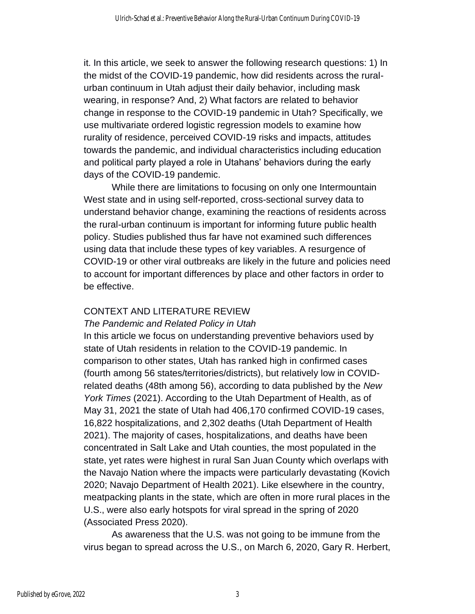it. In this article, we seek to answer the following research questions: 1) In the midst of the COVID-19 pandemic, how did residents across the ruralurban continuum in Utah adjust their daily behavior, including mask wearing, in response? And, 2) What factors are related to behavior change in response to the COVID-19 pandemic in Utah? Specifically, we use multivariate ordered logistic regression models to examine how rurality of residence, perceived COVID-19 risks and impacts, attitudes towards the pandemic, and individual characteristics including education and political party played a role in Utahans' behaviors during the early days of the COVID-19 pandemic.

While there are limitations to focusing on only one Intermountain West state and in using self-reported, cross-sectional survey data to understand behavior change, examining the reactions of residents across the rural-urban continuum is important for informing future public health policy. Studies published thus far have not examined such differences using data that include these types of key variables. A resurgence of COVID-19 or other viral outbreaks are likely in the future and policies need to account for important differences by place and other factors in order to be effective.

# CONTEXT AND LITERATURE REVIEW

#### *The Pandemic and Related Policy in Utah*

In this article we focus on understanding preventive behaviors used by state of Utah residents in relation to the COVID-19 pandemic. In comparison to other states, Utah has ranked high in confirmed cases (fourth among 56 states/territories/districts), but relatively low in COVIDrelated deaths (48th among 56), according to data published by the *New York Times* (2021). According to the Utah Department of Health, as of May 31, 2021 the state of Utah had 406,170 confirmed COVID-19 cases, 16,822 hospitalizations, and 2,302 deaths (Utah Department of Health 2021). The majority of cases, hospitalizations, and deaths have been concentrated in Salt Lake and Utah counties, the most populated in the state, yet rates were highest in rural San Juan County which overlaps with the Navajo Nation where the impacts were particularly devastating (Kovich 2020; Navajo Department of Health 2021). Like elsewhere in the country, meatpacking plants in the state, which are often in more rural places in the U.S., were also early hotspots for viral spread in the spring of 2020 (Associated Press 2020).

As awareness that the U.S. was not going to be immune from the virus began to spread across the U.S., on March 6, 2020, Gary R. Herbert,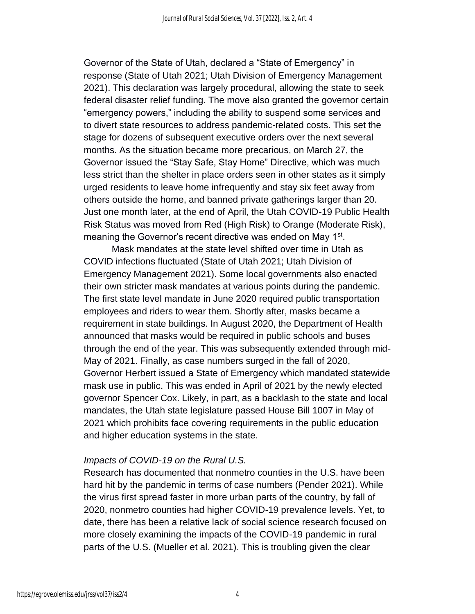Governor of the State of Utah, declared a "State of Emergency" in response (State of Utah 2021; Utah Division of Emergency Management 2021). This declaration was largely procedural, allowing the state to seek federal disaster relief funding. The move also granted the governor certain "emergency powers," including the ability to suspend some services and to divert state resources to address pandemic-related costs. This set the stage for dozens of subsequent executive orders over the next several months. As the situation became more precarious, on March 27, the Governor issued the "Stay Safe, Stay Home" Directive, which was much less strict than the shelter in place orders seen in other states as it simply urged residents to leave home infrequently and stay six feet away from others outside the home, and banned private gatherings larger than 20. Just one month later, at the end of April, the Utah COVID-19 Public Health Risk Status was moved from Red (High Risk) to Orange (Moderate Risk), meaning the Governor's recent directive was ended on May 1<sup>st</sup>.

Mask mandates at the state level shifted over time in Utah as COVID infections fluctuated (State of Utah 2021; Utah Division of Emergency Management 2021). Some local governments also enacted their own stricter mask mandates at various points during the pandemic. The first state level mandate in June 2020 required public transportation employees and riders to wear them. Shortly after, masks became a requirement in state buildings. In August 2020, the Department of Health announced that masks would be required in public schools and buses through the end of the year. This was subsequently extended through mid-May of 2021. Finally, as case numbers surged in the fall of 2020, Governor Herbert issued a State of Emergency which mandated statewide mask use in public. This was ended in April of 2021 by the newly elected governor Spencer Cox. Likely, in part, as a backlash to the state and local mandates, the Utah state legislature passed House Bill 1007 in May of 2021 which prohibits face covering requirements in the public education and higher education systems in the state.

#### *Impacts of COVID-19 on the Rural U.S.*

Research has documented that nonmetro counties in the U.S. have been hard hit by the pandemic in terms of case numbers (Pender 2021). While the virus first spread faster in more urban parts of the country, by fall of 2020, nonmetro counties had higher COVID-19 prevalence levels. Yet, to date, there has been a relative lack of social science research focused on more closely examining the impacts of the COVID-19 pandemic in rural parts of the U.S. (Mueller et al. 2021). This is troubling given the clear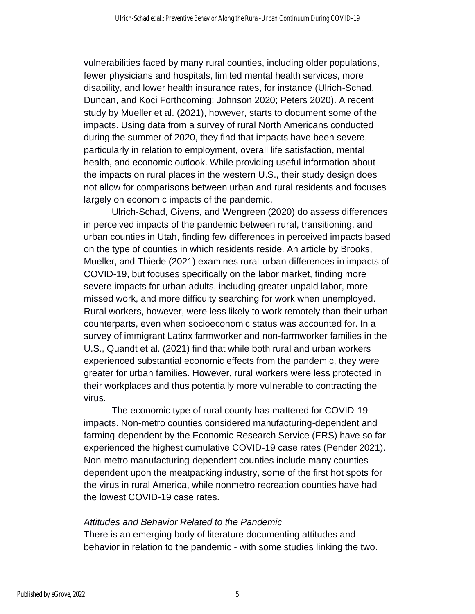vulnerabilities faced by many rural counties, including older populations, fewer physicians and hospitals, limited mental health services, more disability, and lower health insurance rates, for instance (Ulrich-Schad, Duncan, and Koci Forthcoming; Johnson 2020; Peters 2020). A recent study by Mueller et al. (2021), however, starts to document some of the impacts. Using data from a survey of rural North Americans conducted during the summer of 2020, they find that impacts have been severe, particularly in relation to employment, overall life satisfaction, mental health, and economic outlook. While providing useful information about the impacts on rural places in the western U.S., their study design does not allow for comparisons between urban and rural residents and focuses largely on economic impacts of the pandemic.

Ulrich-Schad, Givens, and Wengreen (2020) do assess differences in perceived impacts of the pandemic between rural, transitioning, and urban counties in Utah, finding few differences in perceived impacts based on the type of counties in which residents reside. An article by Brooks, Mueller, and Thiede (2021) examines rural-urban differences in impacts of COVID-19, but focuses specifically on the labor market, finding more severe impacts for urban adults, including greater unpaid labor, more missed work, and more difficulty searching for work when unemployed. Rural workers, however, were less likely to work remotely than their urban counterparts, even when socioeconomic status was accounted for. In a survey of immigrant Latinx farmworker and non-farmworker families in the U.S., Quandt et al. (2021) find that while both rural and urban workers experienced substantial economic effects from the pandemic, they were greater for urban families. However, rural workers were less protected in their workplaces and thus potentially more vulnerable to contracting the virus.

The economic type of rural county has mattered for COVID-19 impacts. Non-metro counties considered manufacturing-dependent and farming-dependent by the Economic Research Service (ERS) have so far experienced the highest cumulative COVID-19 case rates (Pender 2021). Non-metro manufacturing-dependent counties include many counties dependent upon the meatpacking industry, some of the first hot spots for the virus in rural America, while nonmetro recreation counties have had the lowest COVID-19 case rates.

# *Attitudes and Behavior Related to the Pandemic*

There is an emerging body of literature documenting attitudes and behavior in relation to the pandemic - with some studies linking the two.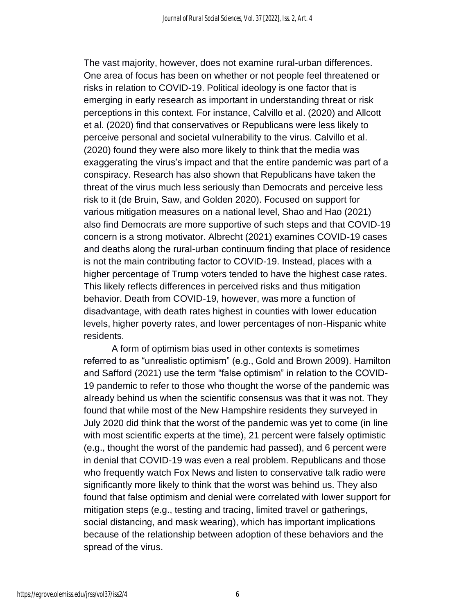The vast majority, however, does not examine rural-urban differences. One area of focus has been on whether or not people feel threatened or risks in relation to COVID-19. Political ideology is one factor that is emerging in early research as important in understanding threat or risk perceptions in this context. For instance, Calvillo et al. (2020) and Allcott et al. (2020) find that conservatives or Republicans were less likely to perceive personal and societal vulnerability to the virus. Calvillo et al. (2020) found they were also more likely to think that the media was exaggerating the virus's impact and that the entire pandemic was part of a conspiracy. Research has also shown that Republicans have taken the threat of the virus much less seriously than Democrats and perceive less risk to it (de Bruin, Saw, and Golden 2020). Focused on support for various mitigation measures on a national level, Shao and Hao (2021) also find Democrats are more supportive of such steps and that COVID-19 concern is a strong motivator. Albrecht (2021) examines COVID-19 cases and deaths along the rural-urban continuum finding that place of residence is not the main contributing factor to COVID-19. Instead, places with a higher percentage of Trump voters tended to have the highest case rates. This likely reflects differences in perceived risks and thus mitigation behavior. Death from COVID-19, however, was more a function of disadvantage, with death rates highest in counties with lower education levels, higher poverty rates, and lower percentages of non-Hispanic white residents.

A form of optimism bias used in other contexts is sometimes referred to as "unrealistic optimism" (e.g., Gold and Brown 2009). Hamilton and Safford (2021) use the term "false optimism" in relation to the COVID-19 pandemic to refer to those who thought the worse of the pandemic was already behind us when the scientific consensus was that it was not. They found that while most of the New Hampshire residents they surveyed in July 2020 did think that the worst of the pandemic was yet to come (in line with most scientific experts at the time), 21 percent were falsely optimistic (e.g., thought the worst of the pandemic had passed), and 6 percent were in denial that COVID-19 was even a real problem. Republicans and those who frequently watch Fox News and listen to conservative talk radio were significantly more likely to think that the worst was behind us. They also found that false optimism and denial were correlated with lower support for mitigation steps (e.g., testing and tracing, limited travel or gatherings, social distancing, and mask wearing), which has important implications because of the relationship between adoption of these behaviors and the spread of the virus.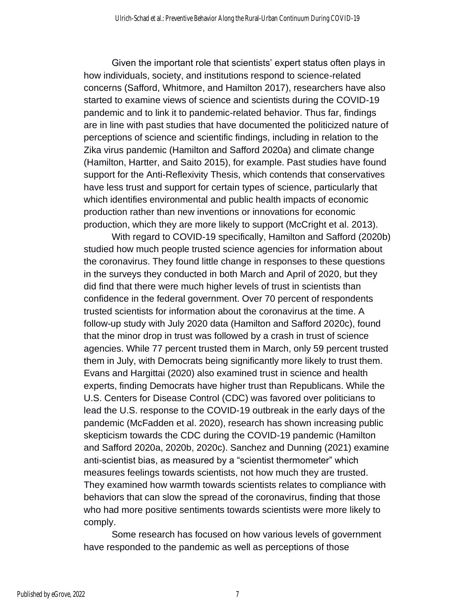Given the important role that scientists' expert status often plays in how individuals, society, and institutions respond to science-related concerns (Safford, Whitmore, and Hamilton 2017), researchers have also started to examine views of science and scientists during the COVID-19 pandemic and to link it to pandemic-related behavior. Thus far, findings are in line with past studies that have documented the politicized nature of perceptions of science and scientific findings, including in relation to the Zika virus pandemic (Hamilton and Safford 2020a) and climate change (Hamilton, Hartter, and Saito 2015), for example. Past studies have found support for the Anti-Reflexivity Thesis, which contends that conservatives have less trust and support for certain types of science, particularly that which identifies environmental and public health impacts of economic production rather than new inventions or innovations for economic production, which they are more likely to support (McCright et al. 2013).

With regard to COVID-19 specifically, Hamilton and Safford (2020b) studied how much people trusted science agencies for information about the coronavirus. They found little change in responses to these questions in the surveys they conducted in both March and April of 2020, but they did find that there were much higher levels of trust in scientists than confidence in the federal government. Over 70 percent of respondents trusted scientists for information about the coronavirus at the time. A follow-up study with July 2020 data (Hamilton and Safford 2020c), found that the minor drop in trust was followed by a crash in trust of science agencies. While 77 percent trusted them in March, only 59 percent trusted them in July, with Democrats being significantly more likely to trust them. Evans and Hargittai (2020) also examined trust in science and health experts, finding Democrats have higher trust than Republicans. While the U.S. Centers for Disease Control (CDC) was favored over politicians to lead the U.S. response to the COVID-19 outbreak in the early days of the pandemic (McFadden et al. 2020), research has shown increasing public skepticism towards the CDC during the COVID-19 pandemic (Hamilton and Safford 2020a, 2020b, 2020c). Sanchez and Dunning (2021) examine anti-scientist bias, as measured by a "scientist thermometer" which measures feelings towards scientists, not how much they are trusted. They examined how warmth towards scientists relates to compliance with behaviors that can slow the spread of the coronavirus, finding that those who had more positive sentiments towards scientists were more likely to comply.

Some research has focused on how various levels of government have responded to the pandemic as well as perceptions of those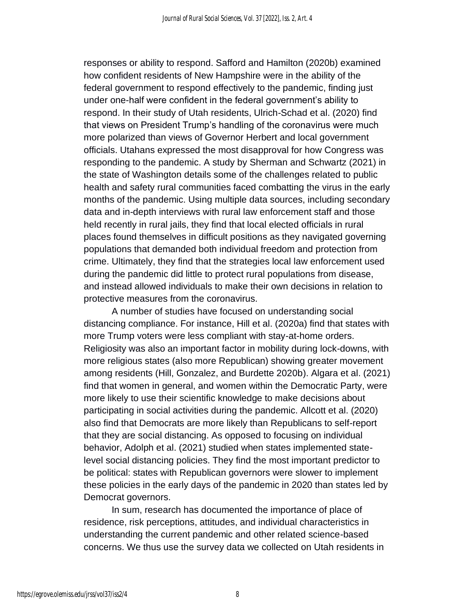responses or ability to respond. Safford and Hamilton (2020b) examined how confident residents of New Hampshire were in the ability of the federal government to respond effectively to the pandemic, finding just under one-half were confident in the federal government's ability to respond. In their study of Utah residents, Ulrich-Schad et al. (2020) find that views on President Trump's handling of the coronavirus were much more polarized than views of Governor Herbert and local government officials. Utahans expressed the most disapproval for how Congress was responding to the pandemic. A study by Sherman and Schwartz (2021) in the state of Washington details some of the challenges related to public health and safety rural communities faced combatting the virus in the early months of the pandemic. Using multiple data sources, including secondary data and in-depth interviews with rural law enforcement staff and those held recently in rural jails, they find that local elected officials in rural places found themselves in difficult positions as they navigated governing populations that demanded both individual freedom and protection from crime. Ultimately, they find that the strategies local law enforcement used during the pandemic did little to protect rural populations from disease, and instead allowed individuals to make their own decisions in relation to protective measures from the coronavirus.

A number of studies have focused on understanding social distancing compliance. For instance, Hill et al. (2020a) find that states with more Trump voters were less compliant with stay-at-home orders. Religiosity was also an important factor in mobility during lock-downs, with more religious states (also more Republican) showing greater movement among residents (Hill, Gonzalez, and Burdette 2020b). Algara et al. (2021) find that women in general, and women within the Democratic Party, were more likely to use their scientific knowledge to make decisions about participating in social activities during the pandemic. Allcott et al. (2020) also find that Democrats are more likely than Republicans to self-report that they are social distancing. As opposed to focusing on individual behavior, Adolph et al. (2021) studied when states implemented statelevel social distancing policies. They find the most important predictor to be political: states with Republican governors were slower to implement these policies in the early days of the pandemic in 2020 than states led by Democrat governors.

In sum, research has documented the importance of place of residence, risk perceptions, attitudes, and individual characteristics in understanding the current pandemic and other related science-based concerns. We thus use the survey data we collected on Utah residents in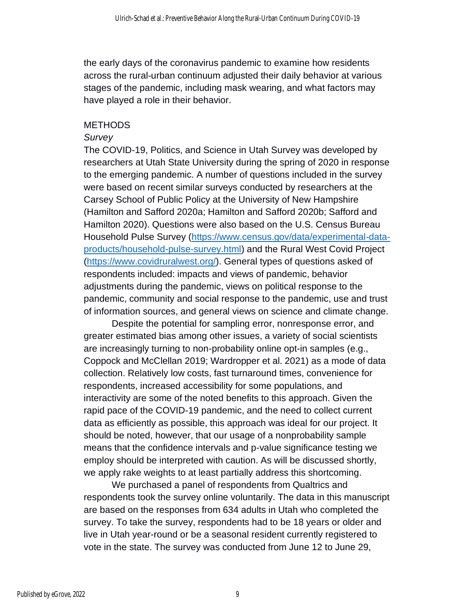the early days of the coronavirus pandemic to examine how residents across the rural-urban continuum adjusted their daily behavior at various stages of the pandemic, including mask wearing, and what factors may have played a role in their behavior.

### **METHODS**

#### *Survey*

The COVID-19, Politics, and Science in Utah Survey was developed by researchers at Utah State University during the spring of 2020 in response to the emerging pandemic. A number of questions included in the survey were based on recent similar surveys conducted by researchers at the Carsey School of Public Policy at the University of New Hampshire (Hamilton and Safford 2020a; Hamilton and Safford 2020b; Safford and Hamilton 2020). Questions were also based on the U.S. Census Bureau Household Pulse Survey [\(https://www.census.gov/data/experimental-data](https://www.census.gov/data/experimental-data-products/household-pulse-survey.html)[products/household-pulse-survey.html\)](https://www.census.gov/data/experimental-data-products/household-pulse-survey.html) and the Rural West Covid Project [\(https://www.covidruralwest.org/\)](https://www.covidruralwest.org/). General types of questions asked of respondents included: impacts and views of pandemic, behavior adjustments during the pandemic, views on political response to the pandemic, community and social response to the pandemic, use and trust of information sources, and general views on science and climate change.

Despite the potential for sampling error, nonresponse error, and greater estimated bias among other issues, a variety of social scientists are increasingly turning to non-probability online opt-in samples (e.g., Coppock and McClellan 2019; Wardropper et al. 2021) as a mode of data collection. Relatively low costs, fast turnaround times, convenience for respondents, increased accessibility for some populations, and interactivity are some of the noted benefits to this approach. Given the rapid pace of the COVID-19 pandemic, and the need to collect current data as efficiently as possible, this approach was ideal for our project. It should be noted, however, that our usage of a nonprobability sample means that the confidence intervals and p-value significance testing we employ should be interpreted with caution. As will be discussed shortly, we apply rake weights to at least partially address this shortcoming.

We purchased a panel of respondents from Qualtrics and respondents took the survey online voluntarily. The data in this manuscript are based on the responses from 634 adults in Utah who completed the survey. To take the survey, respondents had to be 18 years or older and live in Utah year-round or be a seasonal resident currently registered to vote in the state. The survey was conducted from June 12 to June 29,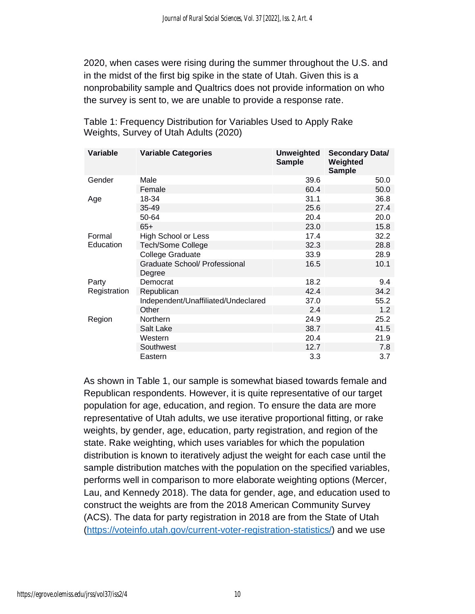2020, when cases were rising during the summer throughout the U.S. and in the midst of the first big spike in the state of Utah. Given this is a nonprobability sample and Qualtrics does not provide information on who the survey is sent to, we are unable to provide a response rate.

| Variable     | <b>Variable Categories</b>                     | <b>Unweighted</b><br><b>Sample</b> | <b>Secondary Data/</b><br>Weighted<br><b>Sample</b> |
|--------------|------------------------------------------------|------------------------------------|-----------------------------------------------------|
| Gender       | Male                                           | 39.6                               | 50.0                                                |
|              | Female                                         | 60.4                               | 50.0                                                |
| Age          | 18-34                                          | 31.1                               | 36.8                                                |
|              | 35-49                                          | 25.6                               | 27.4                                                |
|              | 50-64                                          | 20.4                               | 20.0                                                |
|              | $65+$                                          | 23.0                               | 15.8                                                |
| Formal       | <b>High School or Less</b>                     | 17.4                               | 32.2                                                |
| Education    | <b>Tech/Some College</b>                       | 32.3                               | 28.8                                                |
|              | College Graduate                               | 33.9                               | 28.9                                                |
|              | <b>Graduate School/ Professional</b><br>Degree | 16.5                               | 10.1                                                |
| Party        | Democrat                                       | 18.2                               | 9.4                                                 |
| Registration | Republican                                     | 42.4                               | 34.2                                                |
|              | Independent/Unaffiliated/Undeclared            | 37.0                               | 55.2                                                |
|              | Other                                          | 2.4                                | 1.2                                                 |
| Region       | <b>Northern</b>                                | 24.9                               | 25.2                                                |
|              | Salt Lake                                      | 38.7                               | 41.5                                                |
|              | Western                                        | 20.4                               | 21.9                                                |
|              | Southwest                                      | 12.7                               | 7.8                                                 |
|              | Eastern                                        | 3.3                                | 3.7                                                 |

Table 1: Frequency Distribution for Variables Used to Apply Rake Weights, Survey of Utah Adults (2020)

As shown in Table 1, our sample is somewhat biased towards female and Republican respondents. However, it is quite representative of our target population for age, education, and region. To ensure the data are more representative of Utah adults, we use iterative proportional fitting, or rake weights, by gender, age, education, party registration, and region of the state. Rake weighting, which uses variables for which the population distribution is known to iteratively adjust the weight for each case until the sample distribution matches with the population on the specified variables, performs well in comparison to more elaborate weighting options (Mercer, Lau, and Kennedy 2018). The data for gender, age, and education used to construct the weights are from the 2018 American Community Survey (ACS). The data for party registration in 2018 are from the State of Utah [\(https://voteinfo.utah.gov/current-voter-registration-statistics/\)](https://voteinfo.utah.gov/current-voter-registration-statistics/) and we use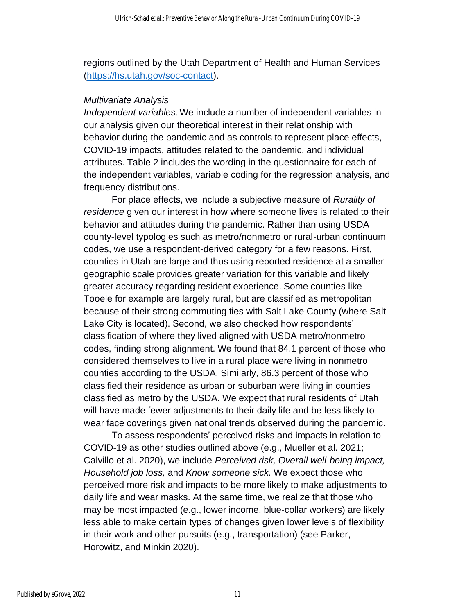regions outlined by the Utah Department of Health and Human Services [\(https://hs.utah.gov/soc-contact\)](https://hs.utah.gov/soc-contact).

#### *Multivariate Analysis*

*Independent variables*. We include a number of independent variables in our analysis given our theoretical interest in their relationship with behavior during the pandemic and as controls to represent place effects, COVID-19 impacts, attitudes related to the pandemic, and individual attributes. Table 2 includes the wording in the questionnaire for each of the independent variables, variable coding for the regression analysis, and frequency distributions.

For place effects, we include a subjective measure of *Rurality of residence* given our interest in how where someone lives is related to their behavior and attitudes during the pandemic. Rather than using USDA county-level typologies such as metro/nonmetro or rural-urban continuum codes, we use a respondent-derived category for a few reasons. First, counties in Utah are large and thus using reported residence at a smaller geographic scale provides greater variation for this variable and likely greater accuracy regarding resident experience. Some counties like Tooele for example are largely rural, but are classified as metropolitan because of their strong commuting ties with Salt Lake County (where Salt Lake City is located). Second, we also checked how respondents' classification of where they lived aligned with USDA metro/nonmetro codes, finding strong alignment. We found that 84.1 percent of those who considered themselves to live in a rural place were living in nonmetro counties according to the USDA. Similarly, 86.3 percent of those who classified their residence as urban or suburban were living in counties classified as metro by the USDA. We expect that rural residents of Utah will have made fewer adjustments to their daily life and be less likely to wear face coverings given national trends observed during the pandemic.

To assess respondents' perceived risks and impacts in relation to COVID-19 as other studies outlined above (e.g., Mueller et al. 2021; Calvillo et al. 2020), we include *Perceived risk, Overall well-being impact, Household job loss,* and *Know someone sick.* We expect those who perceived more risk and impacts to be more likely to make adjustments to daily life and wear masks. At the same time, we realize that those who may be most impacted (e.g., lower income, blue-collar workers) are likely less able to make certain types of changes given lower levels of flexibility in their work and other pursuits (e.g., transportation) (see Parker, Horowitz, and Minkin 2020).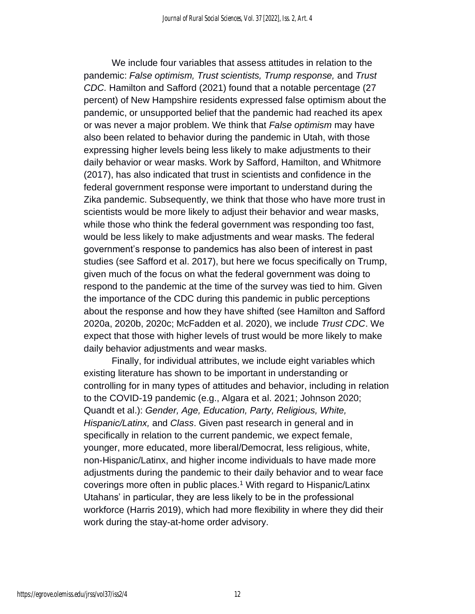We include four variables that assess attitudes in relation to the pandemic: *False optimism, Trust scientists, Trump response,* and *Trust CDC.* Hamilton and Safford (2021) found that a notable percentage (27 percent) of New Hampshire residents expressed false optimism about the pandemic, or unsupported belief that the pandemic had reached its apex or was never a major problem. We think that *False optimism* may have also been related to behavior during the pandemic in Utah, with those expressing higher levels being less likely to make adjustments to their daily behavior or wear masks. Work by Safford, Hamilton, and Whitmore (2017), has also indicated that trust in scientists and confidence in the federal government response were important to understand during the Zika pandemic. Subsequently, we think that those who have more trust in scientists would be more likely to adjust their behavior and wear masks, while those who think the federal government was responding too fast, would be less likely to make adjustments and wear masks. The federal government's response to pandemics has also been of interest in past studies (see Safford et al. 2017), but here we focus specifically on Trump, given much of the focus on what the federal government was doing to respond to the pandemic at the time of the survey was tied to him. Given the importance of the CDC during this pandemic in public perceptions about the response and how they have shifted (see Hamilton and Safford 2020a, 2020b, 2020c; McFadden et al. 2020), we include *Trust CDC*. We expect that those with higher levels of trust would be more likely to make daily behavior adjustments and wear masks.

Finally, for individual attributes, we include eight variables which existing literature has shown to be important in understanding or controlling for in many types of attitudes and behavior, including in relation to the COVID-19 pandemic (e.g., Algara et al. 2021; Johnson 2020; Quandt et al.): *Gender, Age, Education, Party, Religious, White, Hispanic/Latinx,* and *Class*. Given past research in general and in specifically in relation to the current pandemic, we expect female, younger, more educated, more liberal/Democrat, less religious, white, non-Hispanic/Latinx, and higher income individuals to have made more adjustments during the pandemic to their daily behavior and to wear face coverings more often in public places.<sup>1</sup> With regard to Hispanic/Latinx Utahans' in particular, they are less likely to be in the professional workforce (Harris 2019), which had more flexibility in where they did their work during the stay-at-home order advisory.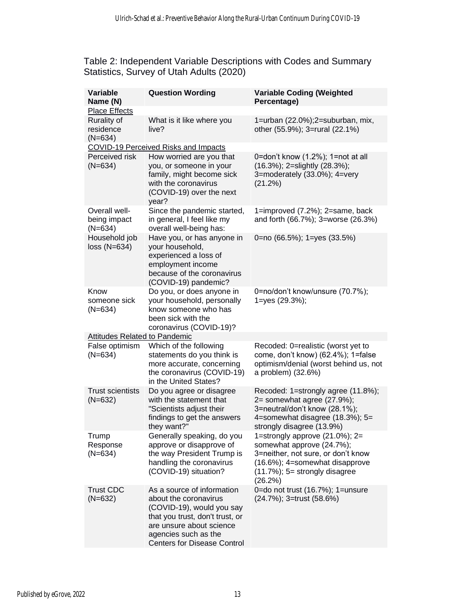#### Table 2: Independent Variable Descriptions with Codes and Summary Statistics, Survey of Utah Adults (2020)

| <b>Variable</b><br>Name (N)<br><b>Place Effects</b> | <b>Question Wording</b>                                                                                                                                                                                       | <b>Variable Coding (Weighted</b><br>Percentage)                                                                                                                                     |
|-----------------------------------------------------|---------------------------------------------------------------------------------------------------------------------------------------------------------------------------------------------------------------|-------------------------------------------------------------------------------------------------------------------------------------------------------------------------------------|
| Rurality of<br>residence<br>$(N=634)$               | What is it like where you<br>live?                                                                                                                                                                            | 1=urban (22.0%);2=suburban, mix,<br>other (55.9%); 3=rural (22.1%)                                                                                                                  |
|                                                     | <b>COVID-19 Perceived Risks and Impacts</b>                                                                                                                                                                   |                                                                                                                                                                                     |
| Perceived risk<br>$(N=634)$                         | How worried are you that<br>you, or someone in your<br>family, might become sick<br>with the coronavirus<br>(COVID-19) over the next<br>year?                                                                 | 0=don't know (1.2%); 1=not at all<br>(16.3%); 2=slightly (28.3%);<br>3=moderately (33.0%); 4=very<br>(21.2%)                                                                        |
| Overall well-<br>being impact<br>$(N=634)$          | Since the pandemic started,<br>in general, I feel like my<br>overall well-being has:                                                                                                                          | 1=improved (7.2%); 2=same, back<br>and forth (66.7%); 3=worse (26.3%)                                                                                                               |
| Household job<br>$loss (N=634)$                     | Have you, or has anyone in<br>your household,<br>experienced a loss of<br>employment income<br>because of the coronavirus<br>(COVID-19) pandemic?                                                             | 0=no (66.5%); 1=yes (33.5%)                                                                                                                                                         |
| Know<br>someone sick<br>$(N=634)$                   | Do you, or does anyone in<br>your household, personally<br>know someone who has<br>been sick with the<br>coronavirus (COVID-19)?                                                                              | 0=no/don't know/unsure (70.7%);<br>1=yes (29.3%);                                                                                                                                   |
| Attitudes Related to Pandemic                       |                                                                                                                                                                                                               |                                                                                                                                                                                     |
| False optimism<br>$(N=634)$                         | Which of the following<br>statements do you think is<br>more accurate, concerning<br>the coronavirus (COVID-19)<br>in the United States?                                                                      | Recoded: 0=realistic (worst yet to<br>come, don't know) (62.4%); 1=false<br>optimism/denial (worst behind us, not<br>a problem) (32.6%)                                             |
| <b>Trust scientists</b><br>$(N=632)$                | Do you agree or disagree<br>with the statement that<br>"Scientists adjust their<br>findings to get the answers<br>they want?"                                                                                 | Recoded: 1=strongly agree (11.8%);<br>$2 =$ somewhat agree (27.9%);<br>3=neutral/don't know (28.1%);<br>4=somewhat disagree (18.3%); 5=<br>strongly disagree (13.9%)                |
| Trump<br>Response<br>$(N=634)$                      | Generally speaking, do you<br>approve or disapprove of<br>the way President Trump is<br>handling the coronavirus<br>(COVID-19) situation?                                                                     | 1=strongly approve (21.0%); 2=<br>somewhat approve (24.7%);<br>3=neither, not sure, or don't know<br>(16.6%); 4=somewhat disapprove<br>$(11.7\%)$ ; 5= strongly disagree<br>(26.2%) |
| <b>Trust CDC</b><br>$(N=632)$                       | As a source of information<br>about the coronavirus<br>(COVID-19), would you say<br>that you trust, don't trust, or<br>are unsure about science<br>agencies such as the<br><b>Centers for Disease Control</b> | 0=do not trust (16.7%); 1=unsure<br>(24.7%); 3=trust (58.6%)                                                                                                                        |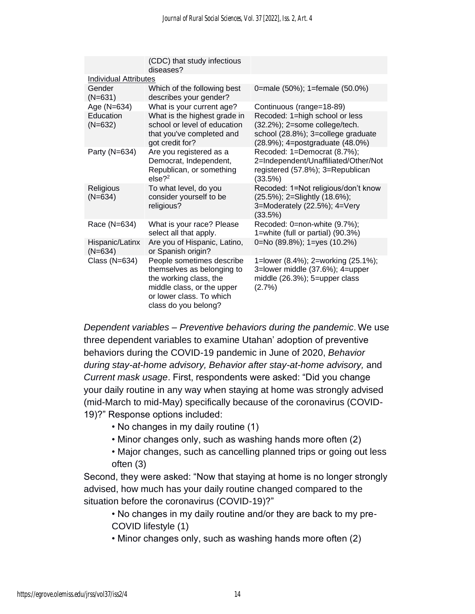|                              | (CDC) that study infectious<br>diseases?                                                                                                                            |                                                                                                                                          |  |  |  |  |  |
|------------------------------|---------------------------------------------------------------------------------------------------------------------------------------------------------------------|------------------------------------------------------------------------------------------------------------------------------------------|--|--|--|--|--|
| Individual Attributes        |                                                                                                                                                                     |                                                                                                                                          |  |  |  |  |  |
| Gender<br>$(N=631)$          | Which of the following best<br>describes your gender?                                                                                                               | 0=male (50%); 1=female (50.0%)                                                                                                           |  |  |  |  |  |
| Age (N=634)                  | What is your current age?                                                                                                                                           | Continuous (range=18-89)                                                                                                                 |  |  |  |  |  |
| Education<br>$(N=632)$       | What is the highest grade in<br>school or level of education<br>that you've completed and<br>got credit for?                                                        | Recoded: 1=high school or less<br>(32.2%); 2=some college/tech.<br>school (28.8%); 3=college graduate<br>(28.9%); 4=postgraduate (48.0%) |  |  |  |  |  |
| Party (N=634)                | Are you registered as a<br>Democrat, Independent,<br>Republican, or something<br>$else?^2$                                                                          | Recoded: 1=Democrat (8.7%);<br>2=Independent/Unaffiliated/Other/Not<br>registered (57.8%); 3=Republican<br>(33.5%)                       |  |  |  |  |  |
| Religious<br>$(N=634)$       | To what level, do you<br>consider yourself to be<br>religious?                                                                                                      | Recoded: 1=Not religious/don't know<br>(25.5%); 2=Slightly (18.6%);<br>3=Moderately (22.5%); 4=Very<br>(33.5%)                           |  |  |  |  |  |
| Race (N=634)                 | What is your race? Please<br>select all that apply.                                                                                                                 | Recoded: 0=non-white (9.7%);<br>1=white (full or partial) (90.3%)                                                                        |  |  |  |  |  |
| Hispanic/Latinx<br>$(N=634)$ | Are you of Hispanic, Latino,<br>or Spanish origin?                                                                                                                  | 0=No (89.8%); 1=yes (10.2%)                                                                                                              |  |  |  |  |  |
| Class (N=634)                | People sometimes describe<br>themselves as belonging to<br>the working class, the<br>middle class, or the upper<br>or lower class. To which<br>class do you belong? | 1=lower (8.4%); 2=working (25.1%);<br>3=lower middle (37.6%); 4=upper<br>middle (26.3%); 5=upper class<br>(2.7%)                         |  |  |  |  |  |

*Dependent variables – Preventive behaviors during the pandemic*. We use three dependent variables to examine Utahan' adoption of preventive behaviors during the COVID-19 pandemic in June of 2020, *Behavior during stay-at-home advisory, Behavior after stay-at-home advisory,* and *Current mask usage*. First, respondents were asked: "Did you change your daily routine in any way when staying at home was strongly advised (mid-March to mid-May) specifically because of the coronavirus (COVID-19)?" Response options included:

- No changes in my daily routine (1)
- Minor changes only, such as washing hands more often (2)
- Major changes, such as cancelling planned trips or going out less often (3)

Second, they were asked: "Now that staying at home is no longer strongly advised, how much has your daily routine changed compared to the situation before the coronavirus (COVID-19)?"

• No changes in my daily routine and/or they are back to my pre-COVID lifestyle (1)

• Minor changes only, such as washing hands more often (2)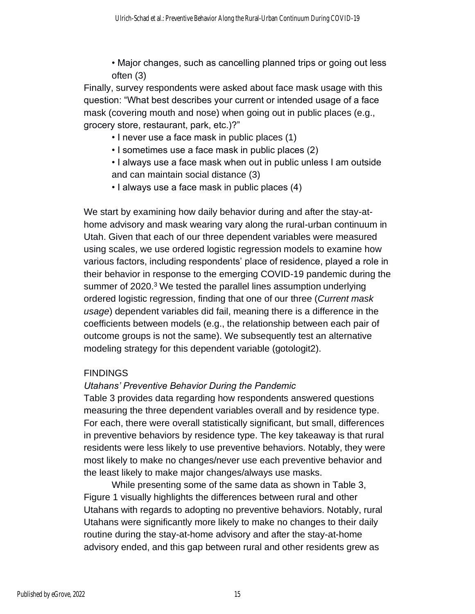• Major changes, such as cancelling planned trips or going out less often (3)

Finally, survey respondents were asked about face mask usage with this question: "What best describes your current or intended usage of a face mask (covering mouth and nose) when going out in public places (e.g., grocery store, restaurant, park, etc.)?"

- I never use a face mask in public places (1)
- I sometimes use a face mask in public places (2)
- I always use a face mask when out in public unless I am outside and can maintain social distance (3)
- I always use a face mask in public places (4)

We start by examining how daily behavior during and after the stay-athome advisory and mask wearing vary along the rural-urban continuum in Utah. Given that each of our three dependent variables were measured using scales, we use ordered logistic regression models to examine how various factors, including respondents' place of residence, played a role in their behavior in response to the emerging COVID-19 pandemic during the summer of 2020.<sup>3</sup> We tested the parallel lines assumption underlying ordered logistic regression, finding that one of our three (*Current mask usage*) dependent variables did fail, meaning there is a difference in the coefficients between models (e.g., the relationship between each pair of outcome groups is not the same). We subsequently test an alternative modeling strategy for this dependent variable (gotologit2).

# FINDINGS

# *Utahans' Preventive Behavior During the Pandemic*

Table 3 provides data regarding how respondents answered questions measuring the three dependent variables overall and by residence type. For each, there were overall statistically significant, but small, differences in preventive behaviors by residence type. The key takeaway is that rural residents were less likely to use preventive behaviors. Notably, they were most likely to make no changes/never use each preventive behavior and the least likely to make major changes/always use masks.

While presenting some of the same data as shown in Table 3, Figure 1 visually highlights the differences between rural and other Utahans with regards to adopting no preventive behaviors. Notably, rural Utahans were significantly more likely to make no changes to their daily routine during the stay-at-home advisory and after the stay-at-home advisory ended, and this gap between rural and other residents grew as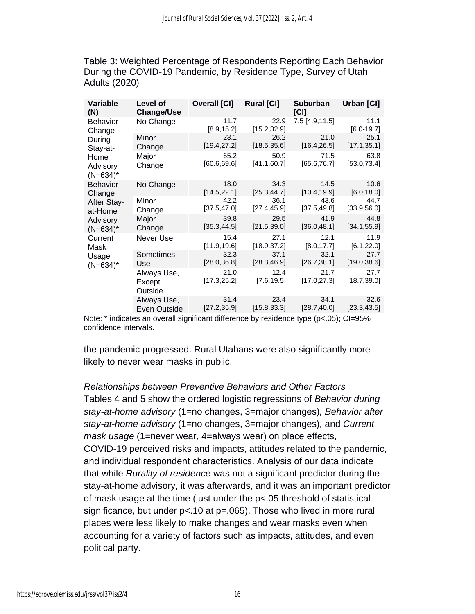Table 3: Weighted Percentage of Respondents Reporting Each Behavior During the COVID-19 Pandemic, by Residence Type, Survey of Utah Adults (2020)

| <b>Variable</b><br>(N)                                                         | Level of<br><b>Change/Use</b>    | Overall [CI]         | <b>Rural [CI]</b>    | Suburban<br>[C]      | Urban [CI]             |
|--------------------------------------------------------------------------------|----------------------------------|----------------------|----------------------|----------------------|------------------------|
| Behavior<br>Change<br>During<br>Stay-at-<br>Home<br>Advisory<br>$(N=634)^*$    | No Change                        | 11.7<br>[8.9, 15.2]  | 22.9<br>[15.2, 32.9] | 7.5 [4.9,11.5]       | 11.1<br>$[6.0 - 19.7]$ |
|                                                                                | Minor<br>Change                  | 23.1<br>[19.4,27.2]  | 26.2<br>[18.5, 35.6] | 21.0<br>[16.4, 26.5] | 25.1<br>[17.1, 35.1]   |
|                                                                                | Major<br>Change                  | 65.2<br>[60.6, 69.6] | 50.9<br>[41.1,60.7]  | 71.5<br>[65.6, 76.7] | 63.8<br>[53.0, 73.4]   |
| <b>Behavior</b><br>Change<br>After Stay-<br>at-Home<br>Advisory<br>$(N=634)^*$ | No Change                        | 18.0<br>[14.5, 22.1] | 34.3<br>[25.3, 44.7] | 14.5<br>[10.4, 19.9] | 10.6<br>[6.0, 18.0]    |
|                                                                                | Minor<br>Change                  | 42.2<br>[37.5, 47.0] | 36.1<br>[27.4, 45.9] | 43.6<br>[37.5, 49.8] | 44.7<br>[33.9, 56.0]   |
|                                                                                | Major<br>Change                  | 39.8<br>[35.3, 44.5] | 29.5<br>[21.5, 39.0] | 41.9<br>[36.0, 48.1] | 44.8<br>[34.1, 55.9]   |
| Current<br>Mask<br>Usage<br>$(N=634)^*$                                        | Never Use                        | 15.4<br>[11.9, 19.6] | 27.1<br>[18.9, 37.2] | 12.1<br>[8.0, 17.7]  | 11.9<br>[6.1, 22.0]    |
|                                                                                | Sometimes<br>Use                 | 32.3<br>[28.0, 36.8] | 37.1<br>[28.3, 46.9] | 32.1<br>[26.7, 38.1] | 27.7<br>[19.0, 38.6]   |
|                                                                                | Always Use,<br>Except<br>Outside | 21.0<br>[17.3, 25.2] | 12.4<br>[7.6, 19.5]  | 21.7<br>[17.0, 27.3] | 27.7<br>[18.7, 39.0]   |
|                                                                                | Always Use,<br>Even Outside      | 31.4<br>[27.2, 35.9] | 23.4<br>[15.8, 33.3] | 34.1<br>[28.7, 40.0] | 32.6<br>[23.3, 43.5]   |

Note: \* indicates an overall significant difference by residence type (p<.05); CI=95% confidence intervals.

the pandemic progressed. Rural Utahans were also significantly more likely to never wear masks in public.

# *Relationships between Preventive Behaviors and Other Factors* Tables 4 and 5 show the ordered logistic regressions of *Behavior during stay-at-home advisory* (1=no changes, 3=major changes)*, Behavior after stay-at-home advisory* (1=no changes, 3=major changes)*,* and *Current mask usage* (1=never wear, 4=always wear) on place effects, COVID-19 perceived risks and impacts, attitudes related to the pandemic, and individual respondent characteristics. Analysis of our data indicate that while *Rurality of residence* was not a significant predictor during the stay-at-home advisory, it was afterwards, and it was an important predictor of mask usage at the time (just under the p<.05 threshold of statistical significance, but under  $p < 10$  at  $p = 065$ ). Those who lived in more rural places were less likely to make changes and wear masks even when accounting for a variety of factors such as impacts, attitudes, and even political party.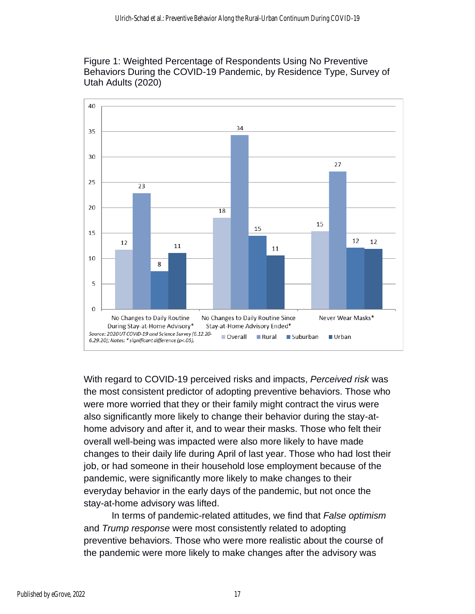Figure 1: Weighted Percentage of Respondents Using No Preventive Behaviors During the COVID-19 Pandemic, by Residence Type, Survey of Utah Adults (2020)



With regard to COVID-19 perceived risks and impacts, *Perceived risk* was the most consistent predictor of adopting preventive behaviors. Those who were more worried that they or their family might contract the virus were also significantly more likely to change their behavior during the stay-athome advisory and after it, and to wear their masks. Those who felt their overall well-being was impacted were also more likely to have made changes to their daily life during April of last year. Those who had lost their job, or had someone in their household lose employment because of the pandemic, were significantly more likely to make changes to their everyday behavior in the early days of the pandemic, but not once the stay-at-home advisory was lifted.

In terms of pandemic-related attitudes, we find that *False optimism* and *Trump response* were most consistently related to adopting preventive behaviors. Those who were more realistic about the course of the pandemic were more likely to make changes after the advisory was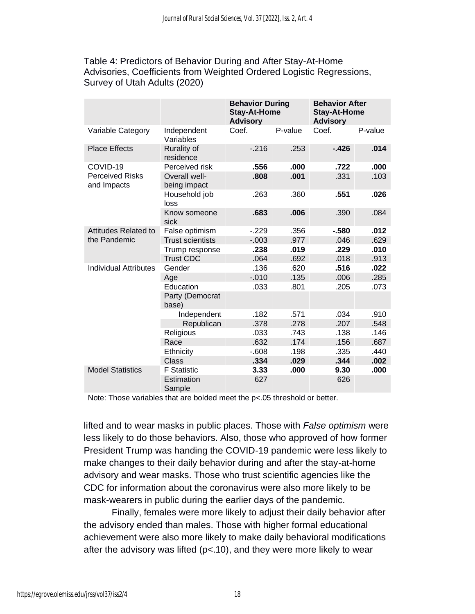Table 4: Predictors of Behavior During and After Stay-At-Home Advisories, Coefficients from Weighted Ordered Logistic Regressions, Survey of Utah Adults (2020)

|                                       |                                 | <b>Behavior During</b><br><b>Stay-At-Home</b><br><b>Advisory</b> |         | <b>Behavior After</b><br><b>Stay-At-Home</b><br><b>Advisory</b> |         |  |
|---------------------------------------|---------------------------------|------------------------------------------------------------------|---------|-----------------------------------------------------------------|---------|--|
| Variable Category                     | Independent<br>Variables        | Coef.                                                            | P-value | Coef.                                                           | P-value |  |
| <b>Place Effects</b>                  | <b>Rurality of</b><br>residence | $-216$                                                           | .253    | $-426$                                                          | .014    |  |
| COVID-19                              | Perceived risk                  | .556                                                             | .000    | .722                                                            | .000    |  |
| <b>Perceived Risks</b><br>and Impacts | Overall well-<br>being impact   | .808                                                             | .001    | .331                                                            | .103    |  |
|                                       | Household job<br>loss           | .263                                                             | .360    | .551                                                            | .026    |  |
|                                       | Know someone<br>sick            | .683                                                             | .006    | .390                                                            | .084    |  |
| Attitudes Related to                  | False optimism                  | $-229$                                                           | .356    | $-580$                                                          | .012    |  |
| the Pandemic                          | <b>Trust scientists</b>         | $-0.003$                                                         | .977    | .046                                                            | .629    |  |
|                                       | Trump response                  | .238                                                             | .019    | .229                                                            | .010    |  |
|                                       | <b>Trust CDC</b>                | .064                                                             | .692    | .018                                                            | .913    |  |
| <b>Individual Attributes</b>          | Gender                          | .136                                                             | .620    | .516                                                            | .022    |  |
|                                       | Age                             | $-0.010$                                                         | .135    | .006                                                            | .285    |  |
|                                       | Education                       | .033                                                             | .801    | .205                                                            | .073    |  |
|                                       | Party (Democrat<br>base)        |                                                                  |         |                                                                 |         |  |
|                                       | Independent                     | .182                                                             | .571    | .034                                                            | .910    |  |
|                                       | Republican                      | .378                                                             | .278    | .207                                                            | .548    |  |
|                                       | Religious                       | .033                                                             | .743    | .138                                                            | .146    |  |
|                                       | Race                            | .632                                                             | .174    | .156                                                            | .687    |  |
|                                       | Ethnicity                       | $-0.608$                                                         | .198    | .335                                                            | .440    |  |
|                                       | <b>Class</b>                    | .334                                                             | .029    | .344                                                            | .002    |  |
| <b>Model Statistics</b>               | <b>F</b> Statistic              | 3.33                                                             | .000    | 9.30                                                            | .000    |  |
|                                       | Estimation<br>Sample            | 627                                                              |         | 626                                                             |         |  |

Note: Those variables that are bolded meet the p<.05 threshold or better.

lifted and to wear masks in public places. Those with *False optimism* were less likely to do those behaviors. Also, those who approved of how former President Trump was handing the COVID-19 pandemic were less likely to make changes to their daily behavior during and after the stay-at-home advisory and wear masks. Those who trust scientific agencies like the CDC for information about the coronavirus were also more likely to be mask-wearers in public during the earlier days of the pandemic.

Finally, females were more likely to adjust their daily behavior after the advisory ended than males. Those with higher formal educational achievement were also more likely to make daily behavioral modifications after the advisory was lifted (p<.10), and they were more likely to wear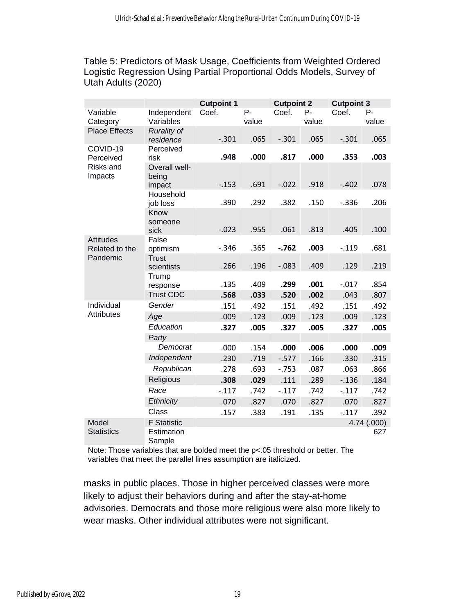Table 5: Predictors of Mask Usage, Coefficients from Weighted Ordered Logistic Regression Using Partial Proportional Odds Models, Survey of Utah Adults (2020)

|                                                      |                                 | <b>Cutpoint 1</b> |                | <b>Cutpoint 2</b> |                | <b>Cutpoint 3</b> |             |
|------------------------------------------------------|---------------------------------|-------------------|----------------|-------------------|----------------|-------------------|-------------|
| Variable<br>Category                                 | Independent<br>Variables        | Coef.             | $P -$<br>value | Coef.             | $P -$<br>value | Coef.             | P-<br>value |
| <b>Place Effects</b>                                 | <b>Rurality of</b><br>residence | $-.301$           | .065           | $-.301$           | .065           | $-.301$           | .065        |
| COVID-19<br>Perceived<br><b>Risks and</b><br>Impacts | Perceived<br>risk               | .948              | .000           | .817              | .000           | .353              | .003        |
|                                                      | Overall well-<br>being          |                   |                |                   |                |                   |             |
|                                                      | impact                          | $-0.153$          | .691           | $-.022$           | .918           | $-.402$           | .078        |
|                                                      | Household<br>job loss           | .390              | .292           | .382              | .150           | $-.336$           | .206        |
|                                                      | Know<br>someone                 |                   |                |                   |                |                   |             |
|                                                      | sick                            | $-.023$           | .955           | .061              | .813           | .405              | .100        |
| <b>Attitudes</b><br>Related to the                   | False<br>optimism               | $-.346$           | .365           | $-.762$           | .003           | $-.119$           | .681        |
| Pandemic                                             | <b>Trust</b><br>scientists      | .266              | .196           | $-.083$           | .409           | .129              | .219        |
|                                                      | Trump<br>response               | .135              | .409           | .299              | .001           | $-.017$           | .854        |
|                                                      | <b>Trust CDC</b>                | .568              | .033           | .520              | .002           | .043              | .807        |
| Individual                                           | Gender                          | .151              | .492           | .151              | .492           | .151              | .492        |
| <b>Attributes</b>                                    | Age                             | .009              | .123           | .009              | .123           | .009              | .123        |
|                                                      | Education                       | .327              | .005           | .327              | .005           | .327              | .005        |
|                                                      | Party                           |                   |                |                   |                |                   |             |
|                                                      | Democrat                        | .000              | .154           | .000              | .006           | .000              | .009        |
|                                                      | Independent                     | .230              | .719           | $-0.577$          | .166           | .330              | .315        |
|                                                      | Republican                      | .278              | .693           | $-0.753$          | .087           | .063              | .866        |
|                                                      | Religious                       | .308              | .029           | .111              | .289           | $-0.136$          | .184        |
|                                                      | Race                            | $-.117$           | .742           | $-.117$           | .742           | $-.117$           | .742        |
|                                                      | Ethnicity                       | .070              | .827           | .070              | .827           | .070              | .827        |
|                                                      | Class                           | .157              | .383           | .191              | .135           | $-.117$           | .392        |
| Model                                                | <b>F</b> Statistic              |                   |                |                   |                |                   | 4.74 (.000) |
| <b>Statistics</b>                                    | Estimation<br>Sample            |                   |                |                   |                |                   | 627         |

Note: Those variables that are bolded meet the p<.05 threshold or better. The variables that meet the parallel lines assumption are italicized.

masks in public places. Those in higher perceived classes were more likely to adjust their behaviors during and after the stay-at-home advisories. Democrats and those more religious were also more likely to wear masks. Other individual attributes were not significant.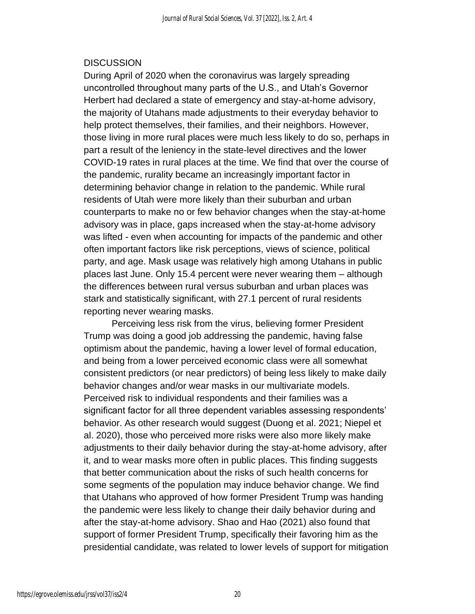### **DISCUSSION**

During April of 2020 when the coronavirus was largely spreading uncontrolled throughout many parts of the U.S., and Utah's Governor Herbert had declared a state of emergency and stay-at-home advisory, the majority of Utahans made adjustments to their everyday behavior to help protect themselves, their families, and their neighbors. However, those living in more rural places were much less likely to do so, perhaps in part a result of the leniency in the state-level directives and the lower COVID-19 rates in rural places at the time. We find that over the course of the pandemic, rurality became an increasingly important factor in determining behavior change in relation to the pandemic. While rural residents of Utah were more likely than their suburban and urban counterparts to make no or few behavior changes when the stay-at-home advisory was in place, gaps increased when the stay-at-home advisory was lifted - even when accounting for impacts of the pandemic and other often important factors like risk perceptions, views of science, political party, and age. Mask usage was relatively high among Utahans in public places last June. Only 15.4 percent were never wearing them – although the differences between rural versus suburban and urban places was stark and statistically significant, with 27.1 percent of rural residents reporting never wearing masks.

Perceiving less risk from the virus, believing former President Trump was doing a good job addressing the pandemic, having false optimism about the pandemic, having a lower level of formal education, and being from a lower perceived economic class were all somewhat consistent predictors (or near predictors) of being less likely to make daily behavior changes and/or wear masks in our multivariate models. Perceived risk to individual respondents and their families was a significant factor for all three dependent variables assessing respondents' behavior. As other research would suggest (Duong et al. 2021; Niepel et al. 2020), those who perceived more risks were also more likely make adjustments to their daily behavior during the stay-at-home advisory, after it, and to wear masks more often in public places. This finding suggests that better communication about the risks of such health concerns for some segments of the population may induce behavior change. We find that Utahans who approved of how former President Trump was handing the pandemic were less likely to change their daily behavior during and after the stay-at-home advisory. Shao and Hao (2021) also found that support of former President Trump, specifically their favoring him as the presidential candidate, was related to lower levels of support for mitigation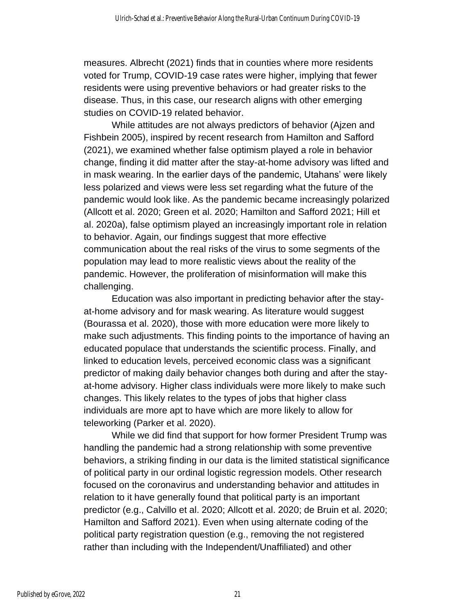measures. Albrecht (2021) finds that in counties where more residents voted for Trump, COVID-19 case rates were higher, implying that fewer residents were using preventive behaviors or had greater risks to the disease. Thus, in this case, our research aligns with other emerging studies on COVID-19 related behavior.

While attitudes are not always predictors of behavior (Ajzen and Fishbein 2005), inspired by recent research from Hamilton and Safford (2021), we examined whether false optimism played a role in behavior change, finding it did matter after the stay-at-home advisory was lifted and in mask wearing. In the earlier days of the pandemic, Utahans' were likely less polarized and views were less set regarding what the future of the pandemic would look like. As the pandemic became increasingly polarized (Allcott et al. 2020; Green et al. 2020; Hamilton and Safford 2021; Hill et al. 2020a), false optimism played an increasingly important role in relation to behavior. Again, our findings suggest that more effective communication about the real risks of the virus to some segments of the population may lead to more realistic views about the reality of the pandemic. However, the proliferation of misinformation will make this challenging.

Education was also important in predicting behavior after the stayat-home advisory and for mask wearing. As literature would suggest (Bourassa et al. 2020), those with more education were more likely to make such adjustments. This finding points to the importance of having an educated populace that understands the scientific process. Finally, and linked to education levels, perceived economic class was a significant predictor of making daily behavior changes both during and after the stayat-home advisory. Higher class individuals were more likely to make such changes. This likely relates to the types of jobs that higher class individuals are more apt to have which are more likely to allow for teleworking (Parker et al. 2020).

While we did find that support for how former President Trump was handling the pandemic had a strong relationship with some preventive behaviors, a striking finding in our data is the limited statistical significance of political party in our ordinal logistic regression models. Other research focused on the coronavirus and understanding behavior and attitudes in relation to it have generally found that political party is an important predictor (e.g., Calvillo et al. 2020; Allcott et al. 2020; de Bruin et al. 2020; Hamilton and Safford 2021). Even when using alternate coding of the political party registration question (e.g., removing the not registered rather than including with the Independent/Unaffiliated) and other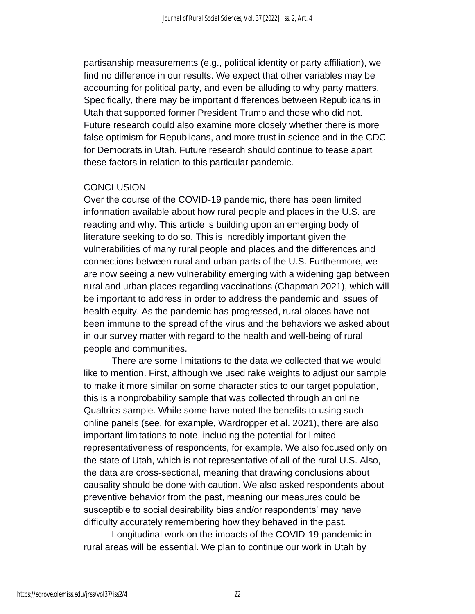partisanship measurements (e.g., political identity or party affiliation), we find no difference in our results. We expect that other variables may be accounting for political party, and even be alluding to why party matters. Specifically, there may be important differences between Republicans in Utah that supported former President Trump and those who did not. Future research could also examine more closely whether there is more false optimism for Republicans, and more trust in science and in the CDC for Democrats in Utah. Future research should continue to tease apart these factors in relation to this particular pandemic.

#### **CONCLUSION**

Over the course of the COVID-19 pandemic, there has been limited information available about how rural people and places in the U.S. are reacting and why. This article is building upon an emerging body of literature seeking to do so. This is incredibly important given the vulnerabilities of many rural people and places and the differences and connections between rural and urban parts of the U.S. Furthermore, we are now seeing a new vulnerability emerging with a widening gap between rural and urban places regarding vaccinations (Chapman 2021), which will be important to address in order to address the pandemic and issues of health equity. As the pandemic has progressed, rural places have not been immune to the spread of the virus and the behaviors we asked about in our survey matter with regard to the health and well-being of rural people and communities.

There are some limitations to the data we collected that we would like to mention. First, although we used rake weights to adjust our sample to make it more similar on some characteristics to our target population, this is a nonprobability sample that was collected through an online Qualtrics sample. While some have noted the benefits to using such online panels (see, for example, Wardropper et al. 2021), there are also important limitations to note, including the potential for limited representativeness of respondents, for example. We also focused only on the state of Utah, which is not representative of all of the rural U.S. Also, the data are cross-sectional, meaning that drawing conclusions about causality should be done with caution. We also asked respondents about preventive behavior from the past, meaning our measures could be susceptible to social desirability bias and/or respondents' may have difficulty accurately remembering how they behaved in the past.

Longitudinal work on the impacts of the COVID-19 pandemic in rural areas will be essential. We plan to continue our work in Utah by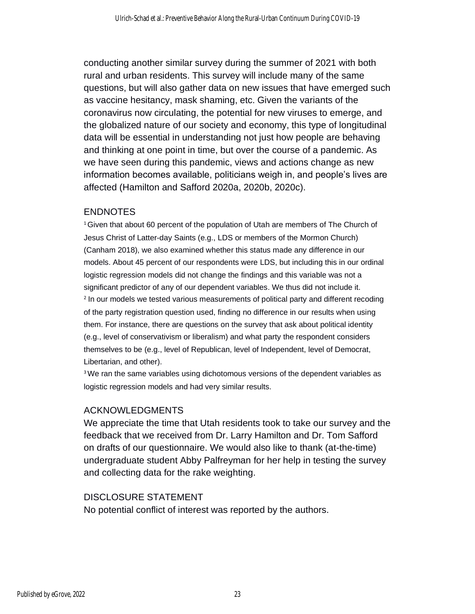conducting another similar survey during the summer of 2021 with both rural and urban residents. This survey will include many of the same questions, but will also gather data on new issues that have emerged such as vaccine hesitancy, mask shaming, etc. Given the variants of the coronavirus now circulating, the potential for new viruses to emerge, and the globalized nature of our society and economy, this type of longitudinal data will be essential in understanding not just how people are behaving and thinking at one point in time, but over the course of a pandemic. As we have seen during this pandemic, views and actions change as new information becomes available, politicians weigh in, and people's lives are affected (Hamilton and Safford 2020a, 2020b, 2020c).

#### ENDNOTES

<sup>1</sup>Given that about 60 percent of the population of Utah are members of The Church of Jesus Christ of Latter-day Saints (e.g., LDS or members of the Mormon Church) (Canham 2018), we also examined whether this status made any difference in our models. About 45 percent of our respondents were LDS, but including this in our ordinal logistic regression models did not change the findings and this variable was not a significant predictor of any of our dependent variables. We thus did not include it. <sup>2</sup> In our models we tested various measurements of political party and different recoding of the party registration question used, finding no difference in our results when using them. For instance, there are questions on the survey that ask about political identity (e.g., level of conservativism or liberalism) and what party the respondent considers themselves to be (e.g., level of Republican, level of Independent, level of Democrat, Libertarian, and other).

<sup>3</sup>We ran the same variables using dichotomous versions of the dependent variables as logistic regression models and had very similar results.

# ACKNOWLEDGMENTS

We appreciate the time that Utah residents took to take our survey and the feedback that we received from Dr. Larry Hamilton and Dr. Tom Safford on drafts of our questionnaire. We would also like to thank (at-the-time) undergraduate student Abby Palfreyman for her help in testing the survey and collecting data for the rake weighting.

#### DISCLOSURE STATEMENT

No potential conflict of interest was reported by the authors.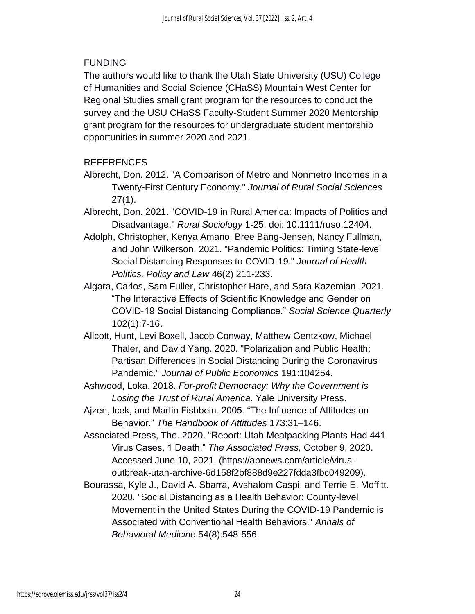# FUNDING

The authors would like to thank the Utah State University (USU) College of Humanities and Social Science (CHaSS) Mountain West Center for Regional Studies small grant program for the resources to conduct the survey and the USU CHaSS Faculty-Student Summer 2020 Mentorship grant program for the resources for undergraduate student mentorship opportunities in summer 2020 and 2021.

# REFERENCES

- Albrecht, Don. 2012. "A Comparison of Metro and Nonmetro Incomes in a Twenty-First Century Economy." *Journal of Rural Social Sciences* 27(1).
- Albrecht, Don. 2021. "COVID-19 in Rural America: Impacts of Politics and Disadvantage." *Rural Sociology* 1-25. doi: 10.1111/ruso.12404.
- Adolph, Christopher, Kenya Amano, Bree Bang-Jensen, Nancy Fullman, and John Wilkerson. 2021. "Pandemic Politics: Timing State-level Social Distancing Responses to COVID-19." *Journal of Health Politics, Policy and Law* 46(2) 211-233.
- Algara, Carlos, Sam Fuller, Christopher Hare, and Sara Kazemian. 2021. "The Interactive Effects of Scientific Knowledge and Gender on COVID‐19 Social Distancing Compliance." *Social Science Quarterly* 102(1):7-16.
- Allcott, Hunt, Levi Boxell, Jacob Conway, Matthew Gentzkow, Michael Thaler, and David Yang. 2020. "Polarization and Public Health: Partisan Differences in Social Distancing During the Coronavirus Pandemic." *Journal of Public Economics* 191:104254.
- Ashwood, Loka. 2018. *For-profit Democracy: Why the Government is Losing the Trust of Rural America*. Yale University Press.
- Ajzen, Icek, and Martin Fishbein. 2005. "The Influence of Attitudes on Behavior." *The Handbook of Attitudes* 173:31–146.
- Associated Press, The. 2020. "Report: Utah Meatpacking Plants Had 441 Virus Cases, 1 Death." *The Associated Press,* October 9, 2020. Accessed June 10, 2021. (https://apnews.com/article/virusoutbreak-utah-archive-6d158f2bf888d9e227fdda3fbc049209).
- Bourassa, Kyle J., David A. Sbarra, Avshalom Caspi, and Terrie E. Moffitt. 2020. "Social Distancing as a Health Behavior: County-level Movement in the United States During the COVID-19 Pandemic is Associated with Conventional Health Behaviors." *Annals of Behavioral Medicine* 54(8):548-556.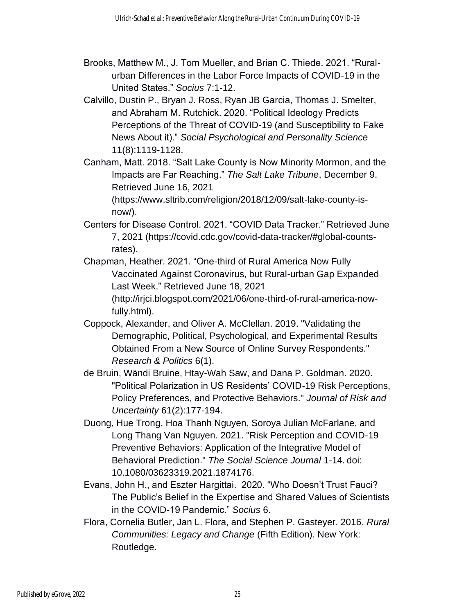- Brooks, Matthew M., J. Tom Mueller, and Brian C. Thiede. 2021. "Ruralurban Differences in the Labor Force Impacts of COVID-19 in the United States." *Socius* 7:1-12.
- Calvillo, Dustin P., Bryan J. Ross, Ryan JB Garcia, Thomas J. Smelter, and Abraham M. Rutchick. 2020. "Political Ideology Predicts Perceptions of the Threat of COVID-19 (and Susceptibility to Fake News About it)." *Social Psychological and Personality Science* 11(8):1119-1128.
- Canham, Matt. 2018. "Salt Lake County is Now Minority Mormon, and the Impacts are Far Reaching." *The Salt Lake Tribune*, December 9. Retrieved June 16, 2021 (https://www.sltrib.com/religion/2018/12/09/salt-lake-county-is-

now/).

- Centers for Disease Control. 2021. "COVID Data Tracker." Retrieved June 7, 2021 (https://covid.cdc.gov/covid-data-tracker/#global-countsrates).
- Chapman, Heather. 2021. "One-third of Rural America Now Fully Vaccinated Against Coronavirus, but Rural-urban Gap Expanded Last Week." Retrieved June 18, 2021 (http://irjci.blogspot.com/2021/06/one-third-of-rural-america-nowfully.html).
- Coppock, Alexander, and Oliver A. McClellan. 2019. "Validating the Demographic, Political, Psychological, and Experimental Results Obtained From a New Source of Online Survey Respondents." *Research & Politics* 6(1).
- de Bruin, Wändi Bruine, Htay-Wah Saw, and Dana P. Goldman. 2020. "Political Polarization in US Residents' COVID-19 Risk Perceptions, Policy Preferences, and Protective Behaviors." *Journal of Risk and Uncertainty* 61(2):177-194.
- Duong, Hue Trong, Hoa Thanh Nguyen, Soroya Julian McFarlane, and Long Thang Van Nguyen. 2021. "Risk Perception and COVID-19 Preventive Behaviors: Application of the Integrative Model of Behavioral Prediction." *The Social Science Journal* 1-14. doi: 10.1080/03623319.2021.1874176.
- Evans, John H., and Eszter Hargittai. 2020. "Who Doesn't Trust Fauci? The Public's Belief in the Expertise and Shared Values of Scientists in the COVID-19 Pandemic." *Socius* 6.
- Flora, Cornelia Butler, Jan L. Flora, and Stephen P. Gasteyer. 2016. *Rural Communities: Legacy and Change* (Fifth Edition). New York: Routledge.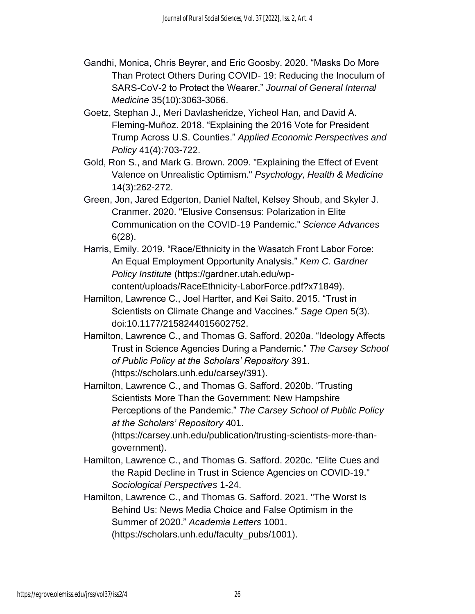- Gandhi, Monica, Chris Beyrer, and Eric Goosby. 2020. "Masks Do More Than Protect Others During COVID- 19: Reducing the Inoculum of SARS-CoV-2 to Protect the Wearer." *Journal of General Internal Medicine* 35(10):3063-3066.
- Goetz, Stephan J., Meri Davlasheridze, Yicheol Han, and David A. Fleming-Muñoz. 2018. "Explaining the 2016 Vote for President Trump Across U.S. Counties." *Applied Economic Perspectives and Policy* 41(4):703-722.
- Gold, Ron S., and Mark G. Brown. 2009. "Explaining the Effect of Event Valence on Unrealistic Optimism." *Psychology, Health & Medicine* 14(3):262-272.
- Green, Jon, Jared Edgerton, Daniel Naftel, Kelsey Shoub, and Skyler J. Cranmer. 2020. "Elusive Consensus: Polarization in Elite Communication on the COVID-19 Pandemic." *Science Advances* 6(28).
- Harris, Emily. 2019. "Race/Ethnicity in the Wasatch Front Labor Force: An Equal Employment Opportunity Analysis." *Kem C. Gardner Policy Institute* (https://gardner.utah.edu/wpcontent/uploads/RaceEthnicity-LaborForce.pdf?x71849).
- Hamilton, Lawrence C., Joel Hartter, and Kei Saito. 2015. "Trust in Scientists on Climate Change and Vaccines." *Sage Open* 5(3). doi:10.1177/2158244015602752.
- Hamilton, Lawrence C., and Thomas G. Safford. 2020a. "Ideology Affects Trust in Science Agencies During a Pandemic." *The Carsey School of Public Policy at the Scholars' Repository* 391. (https://scholars.unh.edu/carsey/391).
- Hamilton, Lawrence C., and Thomas G. Safford. 2020b. "Trusting Scientists More Than the Government: New Hampshire Perceptions of the Pandemic." *The Carsey School of Public Policy at the Scholars' Repository* 401.

(https://carsey.unh.edu/publication/trusting-scientists-more-thangovernment).

- Hamilton, Lawrence C., and Thomas G. Safford. 2020c. "Elite Cues and the Rapid Decline in Trust in Science Agencies on COVID-19." *Sociological Perspectives* 1-24.
- Hamilton, Lawrence C., and Thomas G. Safford. 2021. "The Worst Is Behind Us: News Media Choice and False Optimism in the Summer of 2020." *Academia Letters* 1001. (https://scholars.unh.edu/faculty\_pubs/1001).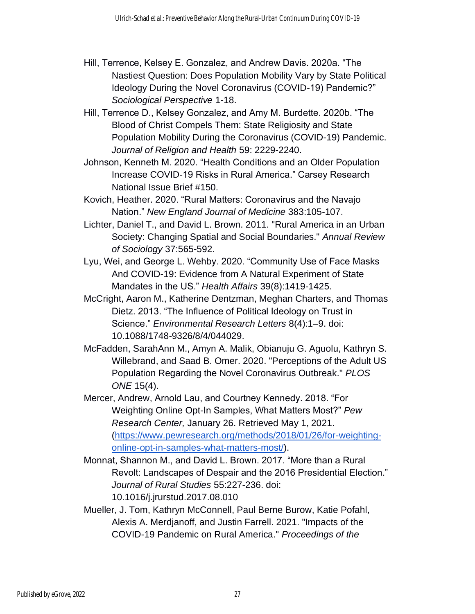- Hill, Terrence, Kelsey E. Gonzalez, and Andrew Davis. 2020a. "The Nastiest Question: Does Population Mobility Vary by State Political Ideology During the Novel Coronavirus (COVID-19) Pandemic?" *Sociological Perspective* 1-18.
- Hill, Terrence D., Kelsey Gonzalez, and Amy M. Burdette. 2020b. "The Blood of Christ Compels Them: State Religiosity and State Population Mobility During the Coronavirus (COVID-19) Pandemic. *Journal of Religion and Health* 59: 2229-2240.
- Johnson, Kenneth M. 2020. "Health Conditions and an Older Population Increase COVID-19 Risks in Rural America." Carsey Research National Issue Brief #150.
- Kovich, Heather. 2020. "Rural Matters: Coronavirus and the Navajo Nation." *New England Journal of Medicine* 383:105-107.
- Lichter, Daniel T., and David L. Brown. 2011. "Rural America in an Urban Society: Changing Spatial and Social Boundaries." *Annual Review of Sociology* 37:565-592.
- Lyu, Wei, and George L. Wehby. 2020. "Community Use of Face Masks And COVID-19: Evidence from A Natural Experiment of State Mandates in the US." *Health Affairs* 39(8):1419-1425.
- McCright, Aaron M., Katherine Dentzman, Meghan Charters, and Thomas Dietz. 2013. "The Influence of Political Ideology on Trust in Science." *Environmental Research Letters* 8(4):1–9. doi: 10.1088/1748-9326/8/4/044029.
- McFadden, SarahAnn M., Amyn A. Malik, Obianuju G. Aguolu, Kathryn S. Willebrand, and Saad B. Omer. 2020. "Perceptions of the Adult US Population Regarding the Novel Coronavirus Outbreak." *PLOS ONE* 15(4).
- Mercer, Andrew, Arnold Lau, and Courtney Kennedy. 2018. "For Weighting Online Opt-In Samples, What Matters Most?" *Pew Research Center,* January 26. Retrieved May 1, 2021. [\(https://www.pewresearch.org/methods/2018/01/26/for-weighting](https://www.pewresearch.org/methods/2018/01/26/for-weighting-online-opt-in-samples-what-matters-most/)[online-opt-in-samples-what-matters-most/\)](https://www.pewresearch.org/methods/2018/01/26/for-weighting-online-opt-in-samples-what-matters-most/).
- Monnat, Shannon M., and David L. Brown. 2017. "More than a Rural Revolt: Landscapes of Despair and the 2016 Presidential Election." *Journal of Rural Studies* 55:227-236. doi: 10.1016/j.jrurstud.2017.08.010
- Mueller, J. Tom, Kathryn McConnell, Paul Berne Burow, Katie Pofahl, Alexis A. Merdjanoff, and Justin Farrell. 2021. "Impacts of the COVID-19 Pandemic on Rural America." *Proceedings of the*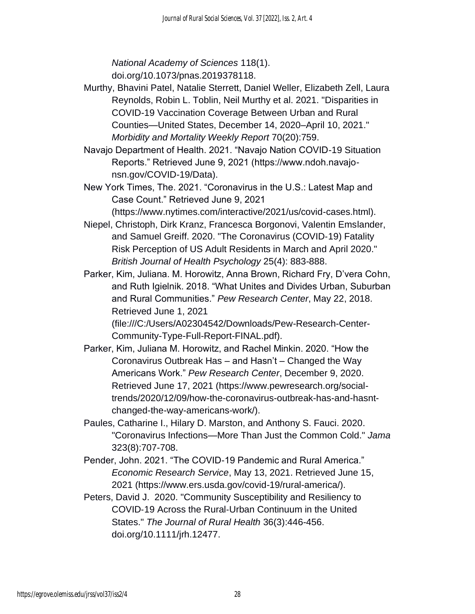*National Academy of Sciences* 118(1). doi.org/10.1073/pnas.2019378118.

- Murthy, Bhavini Patel, Natalie Sterrett, Daniel Weller, Elizabeth Zell, Laura Reynolds, Robin L. Toblin, Neil Murthy et al. 2021. "Disparities in COVID-19 Vaccination Coverage Between Urban and Rural Counties—United States, December 14, 2020–April 10, 2021." *Morbidity and Mortality Weekly Report* 70(20):759.
- Navajo Department of Health. 2021. "Navajo Nation COVID-19 Situation Reports." Retrieved June 9, 2021 (https://www.ndoh.navajonsn.gov/COVID-19/Data).
- New York Times, The. 2021. "Coronavirus in the U.S.: Latest Map and Case Count." Retrieved June 9, 2021

(https://www.nytimes.com/interactive/2021/us/covid-cases.html).

- Niepel, Christoph, Dirk Kranz, Francesca Borgonovi, Valentin Emslander, and Samuel Greiff. 2020. "The Coronavirus (COVID‐19) Fatality Risk Perception of US Adult Residents in March and April 2020." *British Journal of Health Psychology* 25(4): 883-888.
- Parker, Kim, Juliana. M. Horowitz, Anna Brown, Richard Fry, D'vera Cohn, and Ruth Igielnik. 2018. "What Unites and Divides Urban, Suburban and Rural Communities." *Pew Research Center*, May 22, 2018. Retrieved June 1, 2021 (file:///C:/Users/A02304542/Downloads/Pew-Research-Center-

Community-Type-Full-Report-FINAL.pdf).

- Parker, Kim, Juliana M. Horowitz, and Rachel Minkin. 2020. "How the Coronavirus Outbreak Has – and Hasn't – Changed the Way Americans Work." *Pew Research Center*, December 9, 2020. Retrieved June 17, 2021 (https://www.pewresearch.org/socialtrends/2020/12/09/how-the-coronavirus-outbreak-has-and-hasntchanged-the-way-americans-work/).
- Paules, Catharine I., Hilary D. Marston, and Anthony S. Fauci. 2020. "Coronavirus Infections—More Than Just the Common Cold." *Jama* 323(8):707-708.
- Pender, John. 2021. "The COVID-19 Pandemic and Rural America." *Economic Research Service*, May 13, 2021. Retrieved June 15, 2021 (https://www.ers.usda.gov/covid-19/rural-america/).
- Peters, David J. 2020. "Community Susceptibility and Resiliency to COVID‐19 Across the Rural‐Urban Continuum in the United States." *The Journal of Rural Health* 36(3):446-456. doi.org/10.1111/jrh.12477.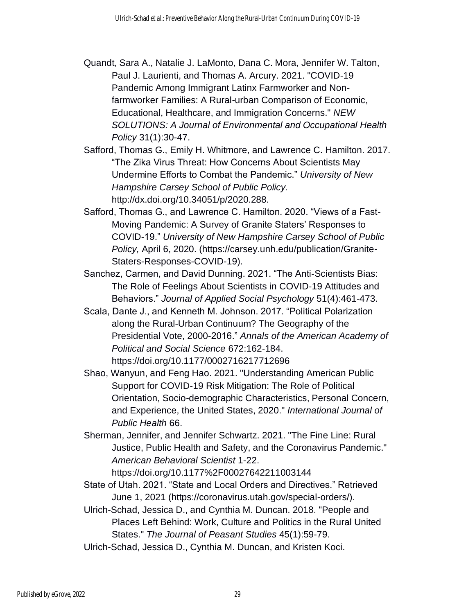- Quandt, Sara A., Natalie J. LaMonto, Dana C. Mora, Jennifer W. Talton, Paul J. Laurienti, and Thomas A. Arcury. 2021. "COVID-19 Pandemic Among Immigrant Latinx Farmworker and Nonfarmworker Families: A Rural-urban Comparison of Economic, Educational, Healthcare, and Immigration Concerns." *NEW SOLUTIONS: A Journal of Environmental and Occupational Health Policy* 31(1):30-47.
- Safford, Thomas G., Emily H. Whitmore, and Lawrence C. Hamilton. 2017. "The Zika Virus Threat: How Concerns About Scientists May Undermine Efforts to Combat the Pandemic." *University of New Hampshire Carsey School of Public Policy.*  http://dx.doi.org/10.34051/p/2020.288.
- Safford, Thomas G., and Lawrence C. Hamilton. 2020. "Views of a Fast-Moving Pandemic: A Survey of Granite Staters' Responses to COVID-19." *University of New Hampshire Carsey School of Public Policy,* April 6, 2020. (https://carsey.unh.edu/publication/Granite-Staters-Responses-COVID-19).
- Sanchez, Carmen, and David Dunning. 2021. "The Anti‐Scientists Bias: The Role of Feelings About Scientists in COVID‐19 Attitudes and Behaviors." *Journal of Applied Social Psychology* 51(4):461-473.
- Scala, Dante J., and Kenneth M. Johnson. 2017. "Political Polarization along the Rural-Urban Continuum? The Geography of the Presidential Vote, 2000-2016." *Annals of the American Academy of Political and Social Science* 672:162-184. https://doi.org/10.1177/0002716217712696
- Shao, Wanyun, and Feng Hao. 2021. "Understanding American Public Support for COVID-19 Risk Mitigation: The Role of Political Orientation, Socio-demographic Characteristics, Personal Concern, and Experience, the United States, 2020." *International Journal of Public Health* 66.
- Sherman, Jennifer, and Jennifer Schwartz. 2021. "The Fine Line: Rural Justice, Public Health and Safety, and the Coronavirus Pandemic." *American Behavioral Scientist* 1-22.

https://doi.org/10.1177%2F00027642211003144

- State of Utah. 2021. "State and Local Orders and Directives." Retrieved June 1, 2021 (https://coronavirus.utah.gov/special-orders/).
- Ulrich-Schad, Jessica D., and Cynthia M. Duncan. 2018. "People and Places Left Behind: Work, Culture and Politics in the Rural United States." *The Journal of Peasant Studies* 45(1):59-79.
- Ulrich-Schad, Jessica D., Cynthia M. Duncan, and Kristen Koci.